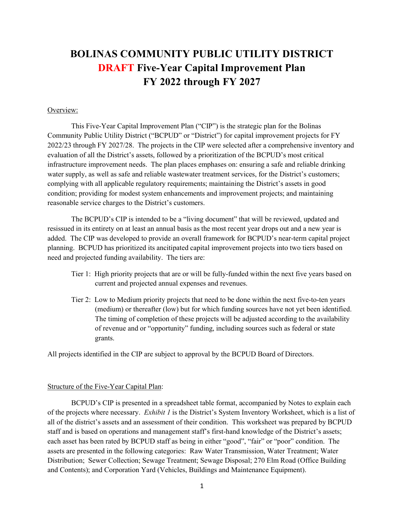# BOLINAS COMMUNITY PUBLIC UTILITY DISTRICT DRAFT Five-Year Capital Improvement Plan FY 2022 through FY 2027

## Overview:

This Five-Year Capital Improvement Plan ("CIP") is the strategic plan for the Bolinas Community Public Utility District ("BCPUD" or "District") for capital improvement projects for FY 2022/23 through FY 2027/28. The projects in the CIP were selected after a comprehensive inventory and evaluation of all the District's assets, followed by a prioritization of the BCPUD's most critical infrastructure improvement needs. The plan places emphases on: ensuring a safe and reliable drinking water supply, as well as safe and reliable wastewater treatment services, for the District's customers; complying with all applicable regulatory requirements; maintaining the District's assets in good condition; providing for modest system enhancements and improvement projects; and maintaining reasonable service charges to the District's customers.

The BCPUD's CIP is intended to be a "living document" that will be reviewed, updated and resissued in its entirety on at least an annual basis as the most recent year drops out and a new year is added. The CIP was developed to provide an overall framework for BCPUD's near-term capital project planning. BCPUD has prioritized its ancitipated capital improvement projects into two tiers based on need and projected funding availability. The tiers are:

- Tier 1: High priority projects that are or will be fully-funded within the next five years based on current and projected annual expenses and revenues.
- Tier 2: Low to Medium priority projects that need to be done within the next five-to-ten years (medium) or thereafter (low) but for which funding sources have not yet been identified. The timing of completion of these projects will be adjusted according to the availability of revenue and or "opportunity" funding, including sources such as federal or state grants.

All projects identified in the CIP are subject to approval by the BCPUD Board of Directors.

#### Structure of the Five-Year Capital Plan:

BCPUD's CIP is presented in a spreadsheet table format, accompanied by Notes to explain each of the projects where necessary. *Exhibit 1* is the District's System Inventory Worksheet, which is a list of all of the district's assets and an assessment of their condition. This worksheet was prepared by BCPUD staff and is based on operations and management staff's first-hand knowledge of the District's assets; each asset has been rated by BCPUD staff as being in either "good", "fair" or "poor" condition. The assets are presented in the following categories: Raw Water Transmission, Water Treatment; Water Distribution; Sewer Collection; Sewage Treatment; Sewage Disposal; 270 Elm Road (Office Building and Contents); and Corporation Yard (Vehicles, Buildings and Maintenance Equipment).